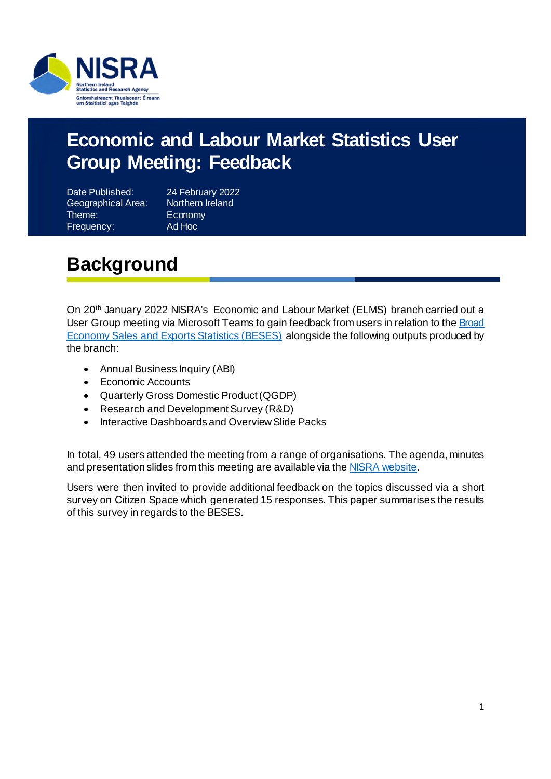

#### **Economic and Labour Market Statistics User Group Meeting: Feedback**

Date Published: 24 February 2022 Geographical Area: Northern Ireland Theme: Economy Frequency: Ad Hoc

## <span id="page-0-0"></span>**Background**

On 20th January 2022 NISRA's Economic and Labour Market (ELMS) branch carried out a User Group meeting via Microsoft Teams to gain feedback from users in relation to the Broad [Economy Sales and Exports Statistics \(BESES\)](https://www.nisra.gov.uk/statistics/business-statistics/broad-economy-sales-and-exports-statistics) alongside the following outputs produced by the branch:

- Annual Business Inquiry (ABI)
- Economic Accounts
- Quarterly Gross Domestic Product (QGDP)
- Research and Development Survey (R&D)
- Interactive Dashboards and Overview Slide Packs

In total, 49 users attended the meeting from a range of organisations. The agenda, minutes and presentation slides from this meeting are available via th[e NISRA website.](https://www.nisra.gov.uk/node/2816)

Users were then invited to provide additional feedback on the topics discussed via a short survey on Citizen Space which generated 15 responses. This paper summarises the results of this survey in regards to the BESES.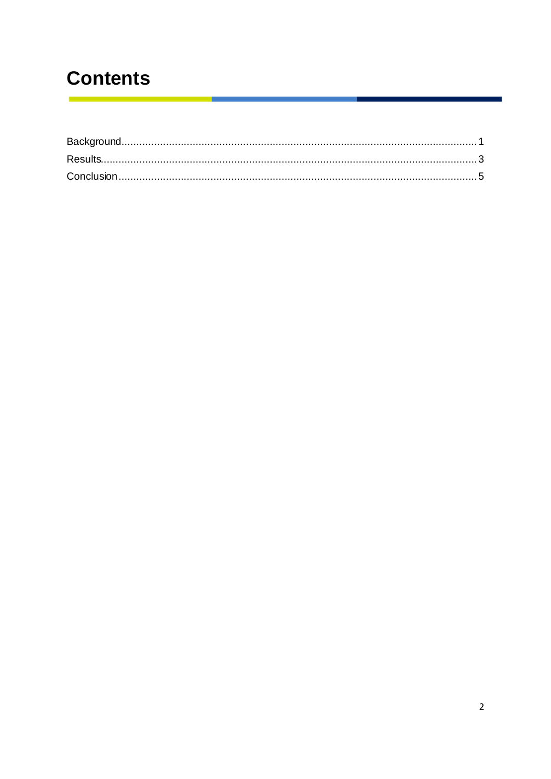## **Contents**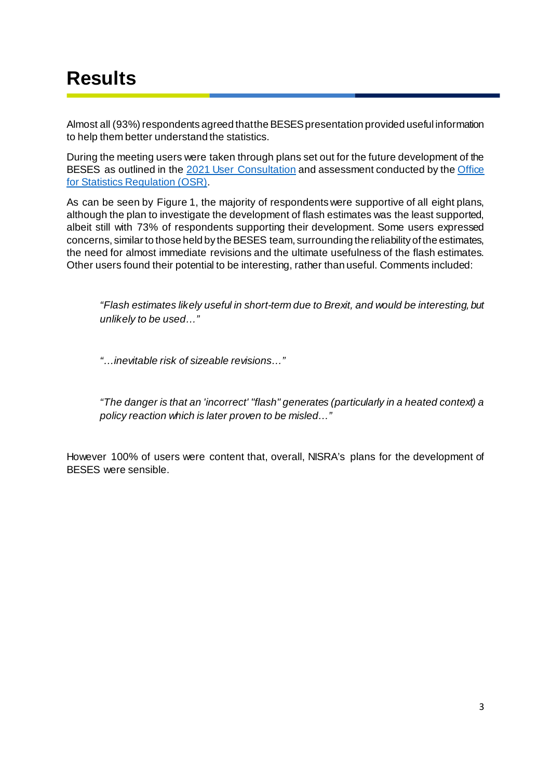#### <span id="page-2-0"></span>**Results**

Almost all (93%) respondents agreed that the BESES presentation provided useful information to help them better understand the statistics.

During the meeting users were taken through plans set out for the future development of the BESES as outlined in the [2021 User Consultation](https://www.nisra.gov.uk/node/2816) and assessment conducted by the [Office](https://osr.statisticsauthority.gov.uk/publication/assessment-report-northern-ireland-broad-economy-sales-and-exports-statistics/) [for Statistics Regulation \(OSR\).](https://osr.statisticsauthority.gov.uk/publication/assessment-report-northern-ireland-broad-economy-sales-and-exports-statistics/)

As can be seen by Figure 1, the majority of respondents were supportive of all eight plans, although the plan to investigate the development of flash estimates was the least supported, albeit still with 73% of respondents supporting their development. Some users expressed concerns, similar to those held by the BESES team, surrounding the reliability of the estimates, the need for almost immediate revisions and the ultimate usefulness of the flash estimates. Other users found their potential to be interesting, rather than useful. Comments included:

*"Flash estimates likely useful in short-term due to Brexit, and would be interesting, but unlikely to be used…"*

*"…inevitable risk of sizeable revisions…"*

*"The danger is that an 'incorrect' "flash" generates (particularly in a heated context) a policy reaction which is later proven to be misled…"*

However 100% of users were content that, overall, NISRA's plans for the development of BESES were sensible.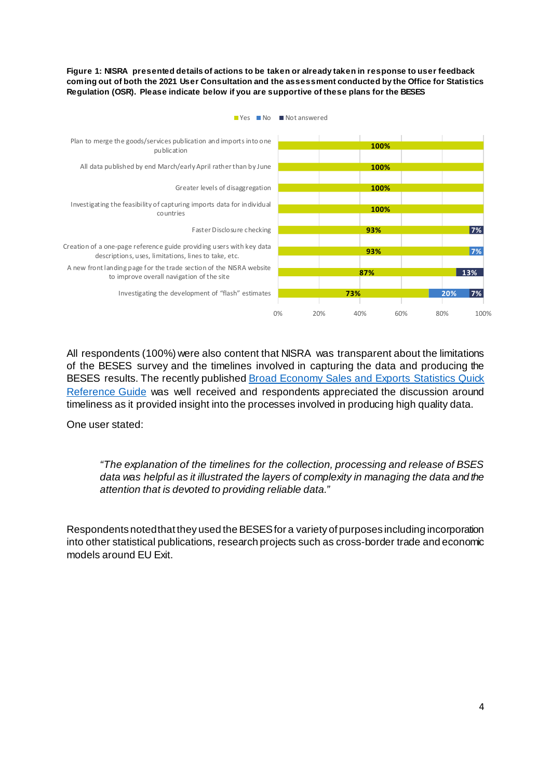**Figure 1: NISRA presented details of actions to be taken or already taken in response to user feedback coming out of both the 2021 User Consultation and the assessment conducted by the Office for Statistics Regulation (OSR). Please indicate below if you are supportive of these plans for the BESES**



**No Not answered** 

All respondents (100%) were also content that NISRA was transparent about the limitations of the BESES survey and the timelines involved in capturing the data and producing the BESES results. The recently published **Broad Economy Sales and Exports Statistics Quick** [Reference Guide](https://www.nisra.gov.uk/publications/usage-methods-and-quality-and-revisions-policy-broad-economy-sales-and-exports) was well received and respondents appreciated the discussion around timeliness as it provided insight into the processes involved in producing high quality data.

One user stated:

*"The explanation of the timelines for the collection, processing and release of BSES data was helpful as it illustrated the layers of complexity in managing the data and the attention that is devoted to providing reliable data."*

<span id="page-3-0"></span>Respondents noted that they used the BESES for a variety of purposes including incorporation into other statistical publications, research projects such as cross-border trade and economic models around EU Exit.